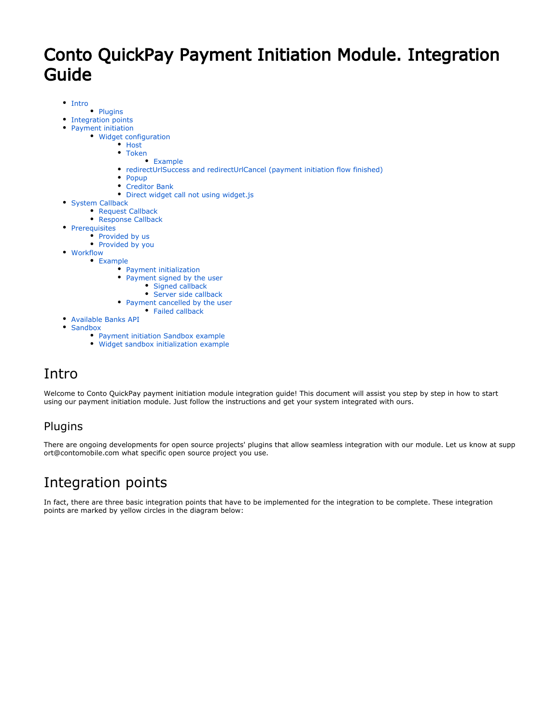# Conto QuickPay Payment Initiation Module. Integration Guide

- [Intro](#page-0-0)
	- [Plugins](#page-0-1)
- [Integration points](#page-0-2)  $\bullet$
- [Payment initiation](#page-1-0)
	- [Widget configuration](#page-2-0)
		- [Host](#page-3-0)
		- [Token](#page-3-1)
			- [Example](#page-4-0)
		- [redirectUrlSuccess and redirectUrlCancel \(payment initiation flow finished\)](#page-4-1)
		- [Popup](#page-5-0)  $\bullet$
		- [Creditor Bank](#page-5-1)
		- [Direct widget call not using widget.js](#page-5-2)
- [System Callback](#page-5-3)
	- [Request Callback](#page-6-0)
	- **[Response Callback](#page-7-0)**

 $\bullet$ 

- [Prerequisites](#page-7-1)
	- [Provided by us](#page-7-2)
	- [Provided by you](#page-7-3)
- [Workflow](#page-7-4) [Example](#page-8-0)
	- [Payment initialization](#page-8-1)
	- [Payment signed by the user](#page-9-0)
		- [Signed callback](#page-9-1)
		- [Server side callback](#page-9-2)
	- [Payment cancelled by the user](#page-10-0)
	- [Failed callback](#page-10-1)
- $\bullet$ [Available Banks API](#page-10-2)
- $\bullet$ [Sandbox](#page-11-0)
	- [Payment initiation Sandbox example](#page-11-1)
	- [Widget sandbox initialization example](#page-11-2)

# <span id="page-0-0"></span>Intro

Welcome to Conto QuickPay payment initiation module integration guide! This document will assist you step by step in how to start using our payment initiation module. Just follow the instructions and get your system integrated with ours.

## <span id="page-0-1"></span>Plugins

There are ongoing developments for open source projects' plugins that allow seamless integration with our module. Let us know at [supp](mailto:support@contomobile.com) [ort@contomobile.com](mailto:support@contomobile.com) what specific open source project you use.

# <span id="page-0-2"></span>Integration points

In fact, there are three basic integration points that have to be implemented for the integration to be complete. These integration points are marked by yellow circles in the diagram below: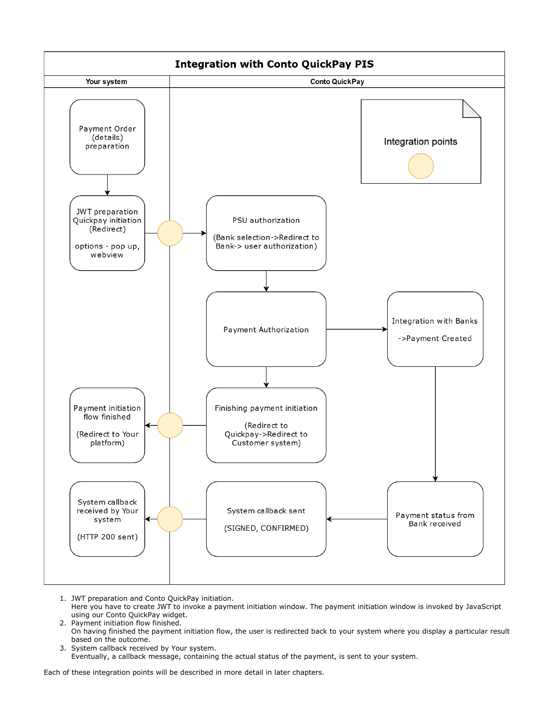

- 1. JWT preparation and Conto QuickPay initiation. Here you have to create JWT to invoke a payment initiation window. The payment initiation window is invoked by JavaScript using our Conto QuickPay widget.
- 2. Payment initiation flow finished. On having finished the payment initiation flow, the user is redirected back to your system where you display a particular result based on the outcome.
- 3. System callback received by Your system. Eventually, a callback message, containing the actual status of the payment, is sent to your system.

<span id="page-1-0"></span>Each of these integration points will be described in more detail in later chapters.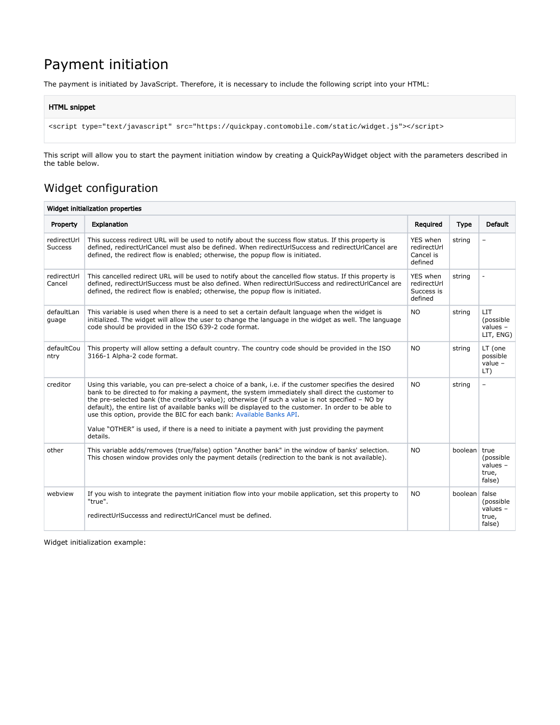# Payment initiation

The payment is initiated by JavaScript. Therefore, it is necessary to include the following script into your HTML:

#### HTML snippet

```
<script type="text/javascript" src="https://quickpay.contomobile.com/static/widget.js"></script>
```
This script will allow you to start the payment initiation window by creating a QuickPayWidget object with the parameters described in the table below.

## <span id="page-2-0"></span>Widget configuration

| Widget initialization properties |                                                                                                                                                                                                                                                                                                                                                                                                                                                                                                                                                                                                                  |                                                  |               |                                                    |
|----------------------------------|------------------------------------------------------------------------------------------------------------------------------------------------------------------------------------------------------------------------------------------------------------------------------------------------------------------------------------------------------------------------------------------------------------------------------------------------------------------------------------------------------------------------------------------------------------------------------------------------------------------|--------------------------------------------------|---------------|----------------------------------------------------|
| Property                         | <b>Explanation</b>                                                                                                                                                                                                                                                                                                                                                                                                                                                                                                                                                                                               | Required                                         | <b>Type</b>   | <b>Default</b>                                     |
| redirectUrl<br><b>Success</b>    | This success redirect URL will be used to notify about the success flow status. If this property is<br>defined, redirectUrlCancel must also be defined. When redirectUrlSuccess and redirectUrlCancel are<br>defined, the redirect flow is enabled; otherwise, the popup flow is initiated.                                                                                                                                                                                                                                                                                                                      | YES when<br>redirectUrl<br>Cancel is<br>defined  | string        |                                                    |
| redirectUrl<br>Cancel            | This cancelled redirect URL will be used to notify about the cancelled flow status. If this property is<br>defined, redirectUrlSuccess must be also defined. When redirectUrlSuccess and redirectUrlCancel are<br>defined, the redirect flow is enabled; otherwise, the popup flow is initiated.                                                                                                                                                                                                                                                                                                                 | YES when<br>redirectUrl<br>Success is<br>defined | string        |                                                    |
| defaultLan<br>guage              | This variable is used when there is a need to set a certain default language when the widget is<br>initialized. The widget will allow the user to change the language in the widget as well. The language<br>code should be provided in the ISO 639-2 code format.                                                                                                                                                                                                                                                                                                                                               | <b>NO</b>                                        | string        | <b>LIT</b><br>(possible<br>values $-$<br>LIT, ENG) |
| defaultCou<br>ntry               | This property will allow setting a default country. The country code should be provided in the ISO<br>3166-1 Alpha-2 code format.                                                                                                                                                                                                                                                                                                                                                                                                                                                                                | <b>NO</b>                                        | string        | LT (one<br>possible<br>value $-$<br>LT)            |
| creditor                         | Using this variable, you can pre-select a choice of a bank, i.e. if the customer specifies the desired<br>bank to be directed to for making a payment, the system immediately shall direct the customer to<br>the pre-selected bank (the creditor's value); otherwise (if such a value is not specified - NO by<br>default), the entire list of available banks will be displayed to the customer. In order to be able to<br>use this option, provide the BIC for each bank: Available Banks API.<br>Value "OTHER" is used, if there is a need to initiate a payment with just providing the payment<br>details. | <b>NO</b>                                        | string        | $\overline{\phantom{0}}$                           |
| other                            | This variable adds/removes (true/false) option "Another bank" in the window of banks' selection.<br>This chosen window provides only the payment details (redirection to the bank is not available).                                                                                                                                                                                                                                                                                                                                                                                                             | <b>NO</b>                                        | boolean true  | (possible<br>values $-$<br>true,<br>false)         |
| webview                          | If you wish to integrate the payment initiation flow into your mobile application, set this property to<br>"true".<br>redirectUrlSuccesss and redirectUrlCancel must be defined.                                                                                                                                                                                                                                                                                                                                                                                                                                 | <b>NO</b>                                        | boolean false | (possible<br>values $-$<br>true,<br>false)         |

Widget initialization example: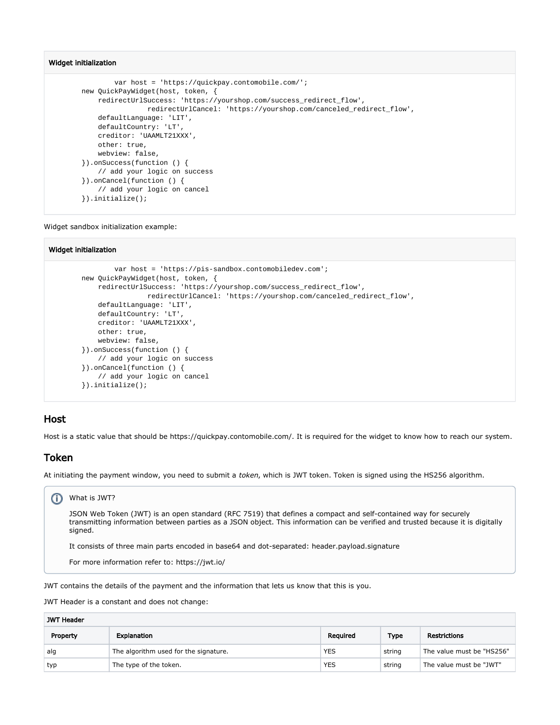#### Widget initialization

```
 var host = 'https://quickpay.contomobile.com/';
 new QuickPayWidget(host, token, {
     redirectUrlSuccess: 'https://yourshop.com/success_redirect_flow',
                 redirectUrlCancel: 'https://yourshop.com/canceled_redirect_flow',
     defaultLanguage: 'LIT',
     defaultCountry: 'LT',
     creditor: 'UAAMLT21XXX',
     other: true,
     webview: false,
 }).onSuccess(function () {
     // add your logic on success
 }).onCancel(function () {
     // add your logic on cancel
 }).initialize();
```
Widget sandbox initialization example:

#### Widget initialization

```
 var host = 'https://pis-sandbox.contomobiledev.com';
 new QuickPayWidget(host, token, {
     redirectUrlSuccess: 'https://yourshop.com/success_redirect_flow',
                 redirectUrlCancel: 'https://yourshop.com/canceled_redirect_flow',
     defaultLanguage: 'LIT',
     defaultCountry: 'LT',
     creditor: 'UAAMLT21XXX',
     other: true,
     webview: false,
 }).onSuccess(function () {
     // add your logic on success
 }).onCancel(function () {
     // add your logic on cancel
 }).initialize();
```
### <span id="page-3-0"></span>Host

Host is a static value that should be <https://quickpay.contomobile.com/>. It is required for the widget to know how to reach our system.

### <span id="page-3-1"></span>Token

At initiating the payment window, you need to submit a token, which is JWT token. Token is signed using the HS256 algorithm.

### What is JWT?

JSON Web Token (JWT) is an open standard ([RFC 7519](https://tools.ietf.org/html/rfc7519)) that defines a compact and self-contained way for securely transmitting information between parties as a JSON object. This information can be verified and trusted because it is digitally signed.

It consists of three main parts encoded in base64 and dot-separated: header.payload.signature

For more information refer to: <https://jwt.io/>

JWT contains the details of the payment and the information that lets us know that this is you.

JWT Header is a constant and does not change:

| <b>JWT Header</b> |                                       |            |             |                           |
|-------------------|---------------------------------------|------------|-------------|---------------------------|
| Property          | Explanation                           | Reguired   | <b>Type</b> | <b>Restrictions</b>       |
| alg               | The algorithm used for the signature. | <b>YES</b> | string      | The value must be "HS256" |
| typ               | The type of the token.                | <b>YES</b> | string      | The value must be "JWT"   |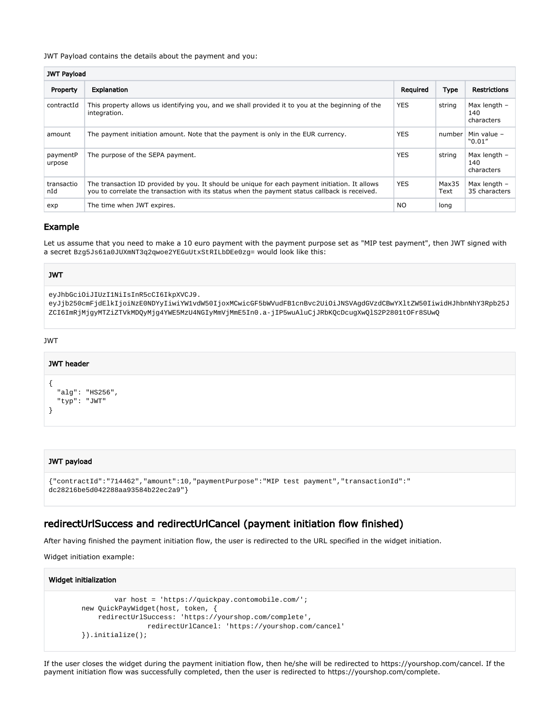#### JWT Payload contains the details about the payment and you:

| <b>JWT Payload</b> |                                                                                                                                                                                                  |                |               |                                     |
|--------------------|--------------------------------------------------------------------------------------------------------------------------------------------------------------------------------------------------|----------------|---------------|-------------------------------------|
| Property           | <b>Explanation</b>                                                                                                                                                                               | Required       | Type          | <b>Restrictions</b>                 |
| contractId         | This property allows us identifying you, and we shall provided it to you at the beginning of the<br>integration.                                                                                 | <b>YES</b>     | string        | Max length $-$<br>140<br>characters |
| amount             | The payment initiation amount. Note that the payment is only in the EUR currency.                                                                                                                | <b>YES</b>     | number        | Min value -<br>"0.01"               |
| paymentP<br>urpose | The purpose of the SEPA payment.                                                                                                                                                                 | <b>YES</b>     | string        | Max length -<br>140<br>characters   |
| transactio<br>nId  | The transaction ID provided by you. It should be unique for each payment initiation. It allows<br>you to correlate the transaction with its status when the payment status callback is received. | <b>YES</b>     | Max35<br>Text | Max length -<br>35 characters       |
| exp                | The time when JWT expires.                                                                                                                                                                       | N <sub>O</sub> | long          |                                     |

### <span id="page-4-0"></span>Example

Let us assume that you need to make a 10 euro payment with the payment purpose set as "MIP test payment", then JWT signed with a secret Bzg5Js61a0JUXmNT3q2qwoe2YEGuUtxStRILbDEe0zg= would look like this:

#### JWT

eyJhbGciOiJIUzI1NiIsInR5cCI6IkpXVCJ9.

eyJjb250cmFjdElkIjoiNzE0NDYyIiwiYW1vdW50IjoxMCwicGF5bWVudFB1cnBvc2UiOiJNSVAgdGVzdCBwYXltZW50IiwidHJhbnNhY3Rpb25J ZCI6ImRjMjgyMTZiZTVkMDQyMjg4YWE5MzU4NGIyMmVjMmE5In0.a-jIP5wuAluCjJRbKQcDcugXwQlS2P2801tOFr8SUwQ

#### JWT

# JWT header

```
{
   "alg": "HS256",
   "typ": "JWT"
}
```
#### JWT payload

```
{"contractId":"714462","amount":10,"paymentPurpose":"MIP test payment","transactionId":"
dc28216be5d042288aa93584b22ec2a9"}
```
## <span id="page-4-1"></span>redirectUrlSuccess and redirectUrlCancel (payment initiation flow finished)

After having finished the payment initiation flow, the user is redirected to the URL specified in the widget initiation.

Widget initiation example:

#### Widget initialization

```
 var host = 'https://quickpay.contomobile.com/';
 new QuickPayWidget(host, token, {
     redirectUrlSuccess: 'https://yourshop.com/complete',
                 redirectUrlCancel: 'https://yourshop.com/cancel'
 }).initialize();
```
If the user closes the widget during the payment initiation flow, then he/she will be redirected to<https://yourshop.com/cancel>. If the payment initiation flow was successfully completed, then the user is redirected to [https://yourshop.com/complete.](https://yourshop.com/complete)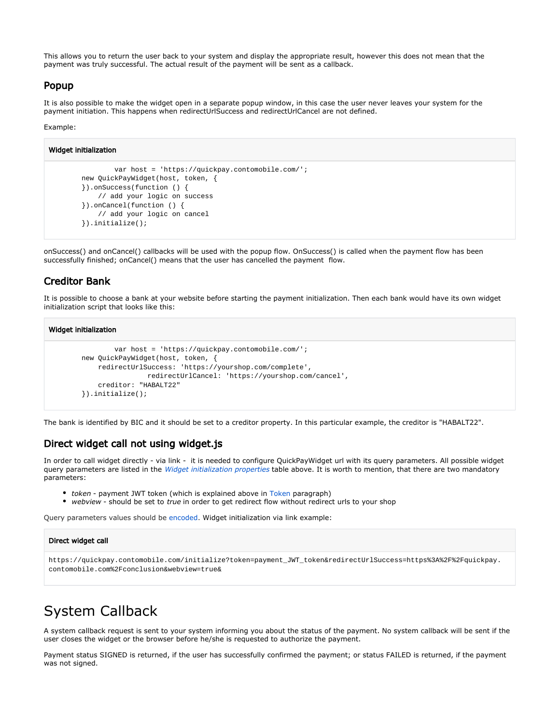This allows you to return the user back to your system and display the appropriate result, however this does not mean that the payment was truly successful. The actual result of the payment will be sent as a callback.

### <span id="page-5-0"></span>Popup

It is also possible to make the widget open in a separate popup window, in this case the user never leaves your system for the payment initiation. This happens when redirectUrlSuccess and redirectUrlCancel are not defined.

#### Example:

```
Widget initialization
                  var host = 'https://quickpay.contomobile.com/';
         new QuickPayWidget(host, token, {
         }).onSuccess(function () {
             // add your logic on success
         }).onCancel(function () {
             // add your logic on cancel
         }).initialize();
```
onSuccess() and onCancel() callbacks will be used with the popup flow. OnSuccess() is called when the payment flow has been successfully finished; onCancel() means that the user has cancelled the payment flow.

### <span id="page-5-1"></span>Creditor Bank

It is possible to choose a bank at your website before starting the payment initialization. Then each bank would have its own widget initialization script that looks like this:

#### Widget initialization

```
 var host = 'https://quickpay.contomobile.com/';
 new QuickPayWidget(host, token, {
     redirectUrlSuccess: 'https://yourshop.com/complete',
                 redirectUrlCancel: 'https://yourshop.com/cancel',
     creditor: "HABALT22"
 }).initialize();
```
The bank is identified by BIC and it should be set to a creditor property. In this particular example, the creditor is "HABALT22".

### <span id="page-5-2"></span>Direct widget call not using widget.js

contomobile.com%2Fconclusion&webview=true&

In order to call widget directly - via link - it is needed to configure QuickPayWidget url with its query parameters. All possible widget query parameters are listed in the [Widget initialization properties](https://wiki.forbis.lt/display/conto/Conto+QuickPay+Payment+Initiation+Module.+Integration+Guide#ContoQuickPayPaymentInitiationModule.IntegrationGuide-Widgetconfiguration) table above. It is worth to mention, that there are two mandatory parameters:

- token payment JWT token (which is explained above in [Token](https://wiki.forbis.lt/display/conto/Conto+QuickPay+Payment+Initiation+Module.+Integration+Guide#ContoQuickPayPaymentInitiationModule.IntegrationGuide-Token) paragraph)
- webview should be set to true in order to get redirect flow without redirect urls to your shop

Query parameters values should be [encoded](https://www.w3schools.com/tags/ref_urlencode.ASP). Widget initialization via link example:

# Direct widget call https://quickpay.contomobile.com/initialize?token=payment\_JWT\_token&redirectUrlSuccess=https%3A%2F%2Fquickpay.

# <span id="page-5-3"></span>System Callback

A system callback request is sent to your system informing you about the status of the payment. No system callback will be sent if the user closes the widget or the browser before he/she is requested to authorize the payment.

Payment status SIGNED is returned, if the user has successfully confirmed the payment; or status FAILED is returned, if the payment was not signed.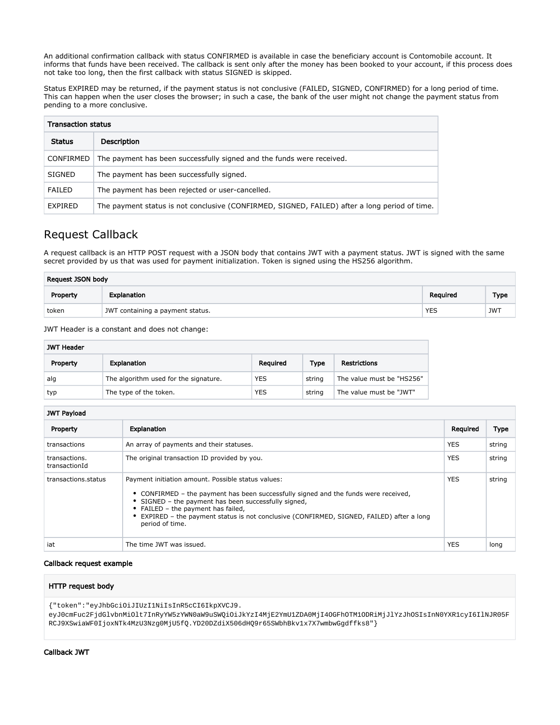An additional confirmation callback with status CONFIRMED is available in case the beneficiary account is Contomobile account. It informs that funds have been received. The callback is sent only after the money has been booked to your account, if this process does not take too long, then the first callback with status SIGNED is skipped.

Status EXPIRED may be returned, if the payment status is not conclusive (FAILED, SIGNED, CONFIRMED) for a long period of time. This can happen when the user closes the browser; in such a case, the bank of the user might not change the payment status from pending to a more conclusive.

| <b>Transaction status</b> |                                                                                               |  |  |
|---------------------------|-----------------------------------------------------------------------------------------------|--|--|
| <b>Status</b>             | Description                                                                                   |  |  |
| <b>CONFIRMED</b>          | The payment has been successfully signed and the funds were received.                         |  |  |
| <b>SIGNED</b>             | The payment has been successfully signed.                                                     |  |  |
| FAILED                    | The payment has been rejected or user-cancelled.                                              |  |  |
| EXPIRED                   | The payment status is not conclusive (CONFIRMED, SIGNED, FAILED) after a long period of time. |  |  |

## <span id="page-6-0"></span>Request Callback

A request callback is an HTTP POST request with a JSON body that contains JWT with a payment status. JWT is signed with the same secret provided by us that was used for payment initialization. Token is signed using the HS256 algorithm.

| Request JSON body |                                  |            |             |  |
|-------------------|----------------------------------|------------|-------------|--|
| Property          | Explanation                      | Reguired   | <b>Type</b> |  |
| token             | JWT containing a payment status. | <b>YES</b> | <b>JWT</b>  |  |

JWT Header is a constant and does not change:

| <b>JWT Header</b> |                                       |            |        |                           |
|-------------------|---------------------------------------|------------|--------|---------------------------|
| Property          | Explanation                           | Reguired   | Type   | <b>Restrictions</b>       |
| alg               | The algorithm used for the signature. | <b>YES</b> | string | The value must be "HS256" |
| typ               | The type of the token.                | <b>YES</b> | string | The value must be "JWT"   |

#### JWT Payload

| Property                       | Explanation                                                                                                                                                                                                                                                                                                                                             | Required   | <b>Type</b> |  |
|--------------------------------|---------------------------------------------------------------------------------------------------------------------------------------------------------------------------------------------------------------------------------------------------------------------------------------------------------------------------------------------------------|------------|-------------|--|
| transactions                   | An array of payments and their statuses.                                                                                                                                                                                                                                                                                                                | <b>YES</b> | string      |  |
| transactions.<br>transactionId | The original transaction ID provided by you.                                                                                                                                                                                                                                                                                                            | <b>YES</b> | string      |  |
| transactions.status            | Payment initiation amount. Possible status values:<br>• CONFIRMED – the payment has been successfully signed and the funds were received,<br>• SIGNED - the payment has been successfully signed,<br>• FAILED – the payment has failed,<br>• EXPIRED - the payment status is not conclusive (CONFIRMED, SIGNED, FAILED) after a long<br>period of time. | <b>YES</b> | string      |  |
| iat                            | The time JWT was issued.                                                                                                                                                                                                                                                                                                                                | <b>YES</b> | long        |  |

#### Callback request example

#### HTTP request body

{"token":"eyJhbGciOiJIUzI1NiIsInR5cCI6IkpXVCJ9. eyJ0cmFuc2FjdGlvbnMiOlt7InRyYW5zYWN0aW9uSWQiOiJkYzI4MjE2YmU1ZDA0MjI4OGFhOTM1ODRiMjJlYzJhOSIsInN0YXR1cyI6IlNJR05F RCJ9XSwiaWF0IjoxNTk4MzU3Nzg0MjU5fQ.YD20DZdiX506dHQ9r65SWbhBkv1x7X7wmbwGgdffks8"}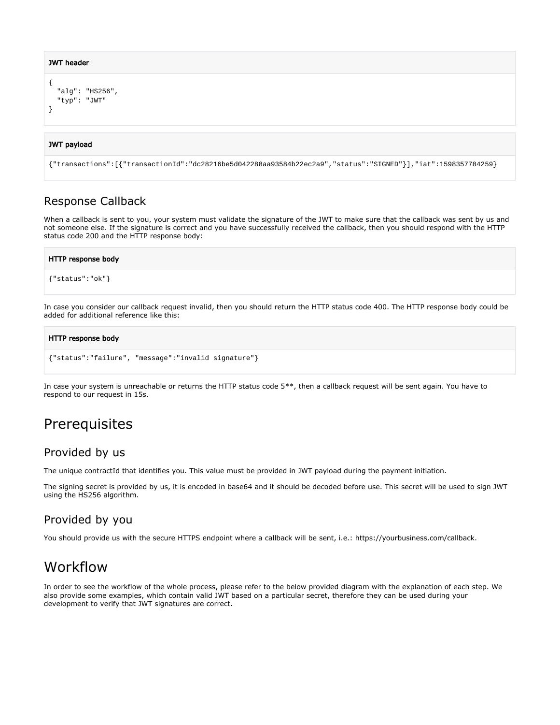#### JWT header

```
{
   "alg": "HS256",
   "typ": "JWT"
}
```
#### JWT payload

```
{"transactions":[{"transactionId":"dc28216be5d042288aa93584b22ec2a9","status":"SIGNED"}],"iat":1598357784259}
```
## <span id="page-7-0"></span>Response Callback

When a callback is sent to you, your system must validate the signature of the JWT to make sure that the callback was sent by us and not someone else. If the signature is correct and you have successfully received the callback, then you should respond with the HTTP status code 200 and the HTTP response body:

#### HTTP response body

```
{"status":"ok"}
```
In case you consider our callback request invalid, then you should return the HTTP status code 400. The HTTP response body could be added for additional reference like this:

#### HTTP response body

```
{"status":"failure", "message":"invalid signature"}
```
In case your system is unreachable or returns the HTTP status code 5\*\*, then a callback request will be sent again. You have to respond to our request in 15s.

# <span id="page-7-1"></span>**Prerequisites**

## <span id="page-7-2"></span>Provided by us

The unique contractId that identifies you. This value must be provided in JWT payload during the payment initiation.

The signing secret is provided by us, it is encoded in base64 and it should be decoded before use. This secret will be used to sign JWT using the HS256 algorithm.

## <span id="page-7-3"></span>Provided by you

You should provide us with the secure HTTPS endpoint where a callback will be sent, i.e.:<https://yourbusiness.com/callback>.

# <span id="page-7-4"></span>Workflow

In order to see the workflow of the whole process, please refer to the below provided diagram with the explanation of each step. We also provide some examples, which contain valid JWT based on a particular secret, therefore they can be used during your development to verify that JWT signatures are correct.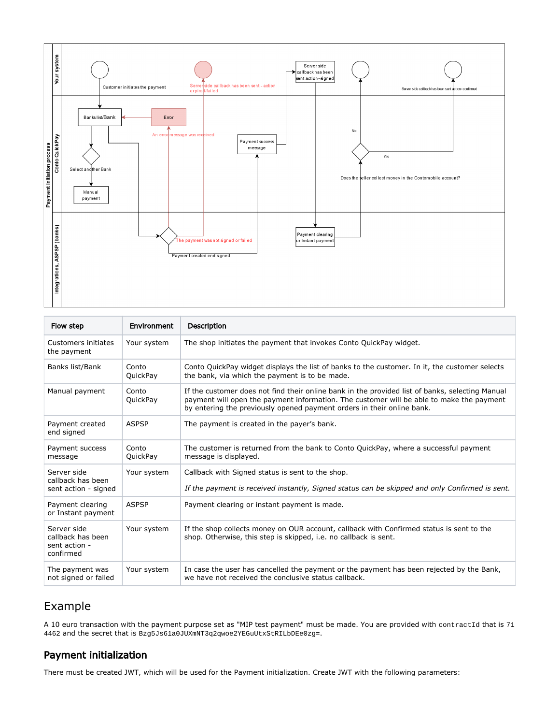

| Flow step                                                      | Environment              | <b>Description</b>                                                                                                                                                                                                                                                    |
|----------------------------------------------------------------|--------------------------|-----------------------------------------------------------------------------------------------------------------------------------------------------------------------------------------------------------------------------------------------------------------------|
| Customers initiates<br>the payment                             | Your system              | The shop initiates the payment that invokes Conto QuickPay widget.                                                                                                                                                                                                    |
| Banks list/Bank                                                | Conto<br><b>QuickPay</b> | Conto QuickPay widget displays the list of banks to the customer. In it, the customer selects<br>the bank, via which the payment is to be made.                                                                                                                       |
| Manual payment                                                 | Conto<br><b>QuickPay</b> | If the customer does not find their online bank in the provided list of banks, selecting Manual<br>payment will open the payment information. The customer will be able to make the payment<br>by entering the previously opened payment orders in their online bank. |
| Payment created<br>end signed                                  | <b>ASPSP</b>             | The payment is created in the payer's bank.                                                                                                                                                                                                                           |
| Payment success<br>message                                     | Conto<br><b>QuickPay</b> | The customer is returned from the bank to Conto QuickPay, where a successful payment<br>message is displayed.                                                                                                                                                         |
| Server side<br>callback has been<br>sent action - signed       | Your system              | Callback with Signed status is sent to the shop.<br>If the payment is received instantly, Signed status can be skipped and only Confirmed is sent.                                                                                                                    |
| Payment clearing<br>or Instant payment                         | <b>ASPSP</b>             | Payment clearing or instant payment is made.                                                                                                                                                                                                                          |
| Server side<br>callback has been<br>sent action -<br>confirmed | Your system              | If the shop collects money on OUR account, callback with Confirmed status is sent to the<br>shop. Otherwise, this step is skipped, i.e. no callback is sent.                                                                                                          |
| The payment was<br>not signed or failed                        | Your system              | In case the user has cancelled the payment or the payment has been rejected by the Bank,<br>we have not received the conclusive status callback.                                                                                                                      |

## <span id="page-8-0"></span>Example

A 10 euro transaction with the payment purpose set as "MIP test payment" must be made. You are provided with contractId that is 71 4462 and the secret that is Bzg5Js61a0JUXmNT3q2qwoe2YEGuUtxStRILbDEe0zg=.

## <span id="page-8-1"></span>Payment initialization

There must be created JWT, which will be used for the Payment initialization. Create JWT with the following parameters: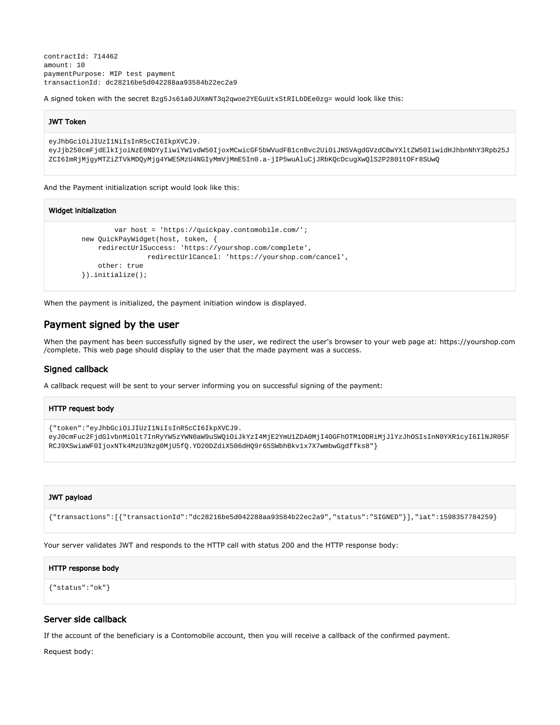contractId: 714462 amount: 10 paymentPurpose: MIP test payment transactionId: dc28216be5d042288aa93584b22ec2a9

A signed token with the secret Bzg5Js61a0JUXmNT3q2qwoe2YEGuUtxStRILbDEe0zg= would look like this:

#### JWT Token

eyJhbGciOiJIUzI1NiIsInR5cCI6IkpXVCJ9.

```
eyJjb250cmFjdElkIjoiNzE0NDYyIiwiYW1vdW50IjoxMCwicGF5bWVudFB1cnBvc2UiOiJNSVAgdGVzdCBwYXltZW50IiwidHJhbnNhY3Rpb25J
ZCI6ImRjMjgyMTZiZTVkMDQyMjg4YWE5MzU4NGIyMmVjMmE5In0.a-jIP5wuAluCjJRbKQcDcugXwQlS2P2801tOFr8SUwQ
```
And the Payment initialization script would look like this:

```
Widget initialization
                 var host = 'https://quickpay.contomobile.com/';
         new QuickPayWidget(host, token, {
             redirectUrlSuccess: 'https://yourshop.com/complete',
                          redirectUrlCancel: 'https://yourshop.com/cancel',
             other: true
         }).initialize();
```
When the payment is initialized, the payment initiation window is displayed.

### <span id="page-9-0"></span>Payment signed by the user

When the payment has been successfully signed by the user, we redirect the user's browser to your web page at: [https://yourshop.com](https://yourshop.com/complete) [/complete.](https://yourshop.com/complete) This web page should display to the user that the made payment was a success.

#### <span id="page-9-1"></span>Signed callback

A callback request will be sent to your server informing you on successful signing of the payment:

```
HTTP request body
{"token":"eyJhbGciOiJIUzI1NiIsInR5cCI6IkpXVCJ9.
eyJ0cmFuc2FjdGlvbnMiOlt7InRyYW5zYWN0aW9uSWQiOiJkYzI4MjE2YmU1ZDA0MjI4OGFhOTM1ODRiMjJlYzJhOSIsInN0YXR1cyI6IlNJR05F
RCJ9XSwiaWF0IjoxNTk4MzU3Nzg0MjU5fQ.YD20DZdiX506dHQ9r65SWbhBkv1x7X7wmbwGgdffks8"}
```
#### JWT payload

```
{"transactions":[{"transactionId":"dc28216be5d042288aa93584b22ec2a9","status":"SIGNED"}],"iat":1598357784259}
```
Your server validates JWT and responds to the HTTP call with status 200 and the HTTP response body:

#### HTTP response body

{"status":"ok"}

#### <span id="page-9-2"></span>Server side callback

If the account of the beneficiary is a Contomobile account, then you will receive a callback of the confirmed payment.

Request body: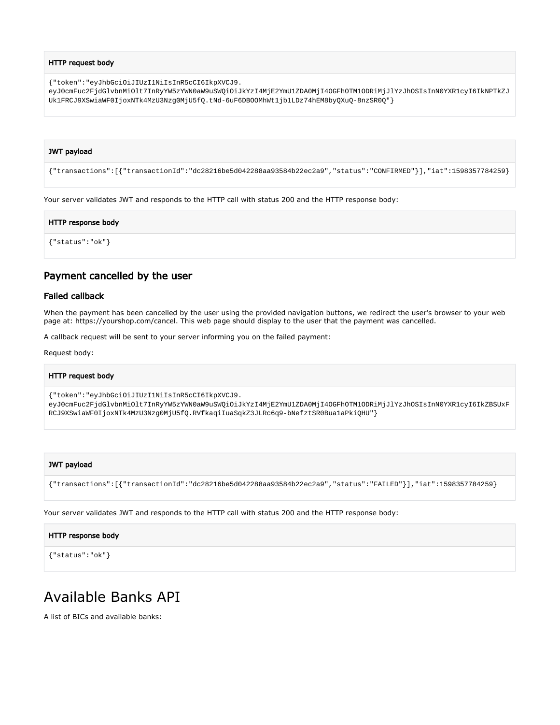#### HTTP request body

{"token":"eyJhbGciOiJIUzI1NiIsInR5cCI6IkpXVCJ9.

eyJ0cmFuc2FjdGlvbnMiOlt7InRyYW5zYWN0aW9uSWQiOiJkYzI4MjE2YmU1ZDA0MjI4OGFhOTM1ODRiMjJlYzJhOSIsInN0YXR1cyI6IkNPTkZJ Uk1FRCJ9XSwiaWF0IjoxNTk4MzU3Nzg0MjU5fQ.tNd-6uF6DBOOMhWt1jb1LDz74hEM8byQXuQ-8nzSR0Q"}

#### JWT payload

{"transactions":[{"transactionId":"dc28216be5d042288aa93584b22ec2a9","status":"CONFIRMED"}],"iat":1598357784259}

Your server validates JWT and responds to the HTTP call with status 200 and the HTTP response body:

#### HTTP response body

{"status":"ok"}

### <span id="page-10-0"></span>Payment cancelled by the user

#### <span id="page-10-1"></span>Failed callback

When the payment has been cancelled by the user using the provided navigation buttons, we redirect the user's browser to your web page at:<https://yourshop.com/cancel>. This web page should display to the user that the payment was cancelled.

A callback request will be sent to your server informing you on the failed payment:

Request body:

#### HTTP request body

{"token":"eyJhbGciOiJIUzI1NiIsInR5cCI6IkpXVCJ9.

eyJ0cmFuc2FjdGlvbnMiOlt7InRyYW5zYWN0aW9uSWQiOiJkYzI4MjE2YmU1ZDA0MjI4OGFhOTM1ODRiMjJlYzJhOSIsInN0YXR1cyI6IkZBSUxF RCJ9XSwiaWF0IjoxNTk4MzU3Nzg0MjU5fQ.RVfkaqiIuaSqkZ3JLRc6q9-bNefztSR0Bua1aPkiQHU"}

#### JWT payload

{"transactions":[{"transactionId":"dc28216be5d042288aa93584b22ec2a9","status":"FAILED"}],"iat":1598357784259}

Your server validates JWT and responds to the HTTP call with status 200 and the HTTP response body:

#### HTTP response body

{"status":"ok"}

## <span id="page-10-2"></span>Available Banks API

A list of BICs and available banks: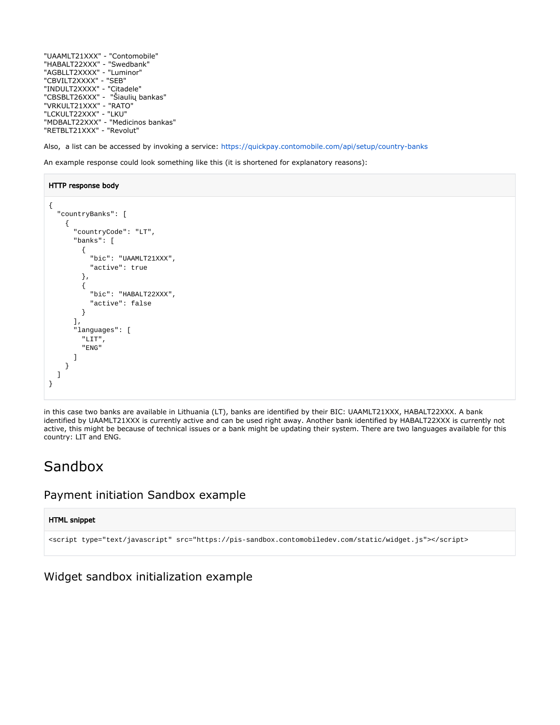"UAAMLT21XXX" - "Contomobile" "HABALT22XXX" - "Swedbank" "AGBLLT2XXXX" - "Luminor" "CBVILT2XXXX" - "SEB" "INDULT2XXXX" - "Citadele" "CBSBLT26XXX" - "Šiaulių bankas" "VRKULT21XXX" - "RATO" "LCKULT22XXX" - "LKU" "MDBALT22XXX" - "Medicinos bankas" "RETBLT21XXX" - "Revolut"

Also, a list can be accessed by invoking a service: <https://quickpay.contomobile.com/api/setup/country-banks>

An example response could look something like this (it is shortened for explanatory reasons):

#### HTTP response body

```
{
   "countryBanks": [
     {
        "countryCode": "LT",
        "banks": [
          {
            "bic": "UAAMLT21XXX",
            "active": true
          },
          {
            "bic": "HABALT22XXX",
            "active": false
          }
        ],
        "languages": [
          "LIT",
          "ENG"
        ]
     }
   ]
}
```
in this case two banks are available in Lithuania (LT), banks are identified by their BIC: UAAMLT21XXX, HABALT22XXX. A bank identified by UAAMLT21XXX is currently active and can be used right away. Another bank identified by HABALT22XXX is currently not active, this might be because of technical issues or a bank might be updating their system. There are two languages available for this country: LIT and ENG.

# <span id="page-11-0"></span>Sandbox

## <span id="page-11-1"></span>Payment initiation Sandbox example

#### HTML snippet

```
<script type="text/javascript" src="https://pis-sandbox.contomobiledev.com/static/widget.js"></script>
```
<span id="page-11-2"></span>Widget sandbox initialization example